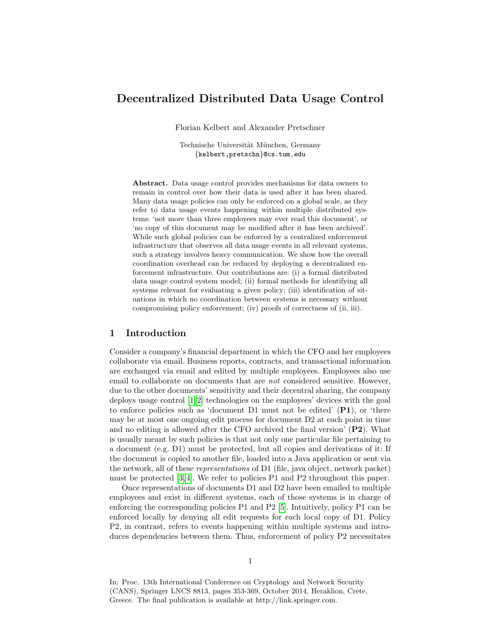# Decentralized Distributed Data Usage Control

Florian Kelbert and Alexander Pretschner

Technische Universität München, Germany {kelbert,pretschn}@cs.tum.edu

Abstract. Data usage control provides mechanisms for data owners to remain in control over how their data is used after it has been shared. Many data usage policies can only be enforced on a global scale, as they refer to data usage events happening within multiple distributed systems: 'not more than three employees may ever read this document', or 'no copy of this document may be modified after it has been archived'. While such global policies can be enforced by a centralized enforcement infrastructure that observes all data usage events in all relevant systems, such a strategy involves heavy communication. We show how the overall coordination overhead can be reduced by deploying a decentralized enforcement infrastructure. Our contributions are: (i) a formal distributed data usage control system model; (ii) formal methods for identifying all systems relevant for evaluating a given policy; (iii) identification of situations in which no coordination between systems is necessary without compromising policy enforcement; (iv) proofs of correctness of (ii, iii).

# <span id="page-0-0"></span>1 Introduction

Consider a company's financial department in which the CFO and her employees collaborate via email. Business reports, contracts, and transactional information are exchanged via email and edited by multiple employees. Employees also use email to collaborate on documents that are *not* considered sensitive. However, due to the other documents' sensitivity and their decentral sharing, the company deploys usage control [\[1,](#page-12-0) [2\]](#page-12-1) technologies on the employees' devices with the goal to enforce policies such as 'document D1 must not be edited'  $(PI)$ , or 'there may be at most one ongoing edit process for document D2 at each point in time and no editing is allowed after the CFO archived the final version'  $(P2)$ . What is usually meant by such policies is that not only one particular file pertaining to a document (e.g. D1) must be protected, but all copies and derivations of it: If the document is copied to another file, loaded into a Java application or sent via the network, all of these representations of D1 (file, java object, network packet) must be protected [\[3,](#page-12-2) [4\]](#page-12-3). We refer to policies P1 and P2 throughout this paper.

Once representations of documents D1 and D2 have been emailed to multiple employees and exist in different systems, each of those systems is in charge of enforcing the corresponding policies P1 and P2 [\[5\]](#page-12-4). Intuitively, policy P1 can be enforced locally by denying all edit requests for each local copy of D1. Policy P2, in contrast, refers to events happening within multiple systems and introduces dependencies between them. Thus, enforcement of policy P2 necessitates

In: Proc. 13th International Conference on Cryptology and Network Security (CANS), Springer LNCS 8813, pages 353-369, October 2014, Heraklion, Crete, Greece. The final publication is available at http://link.springer.com.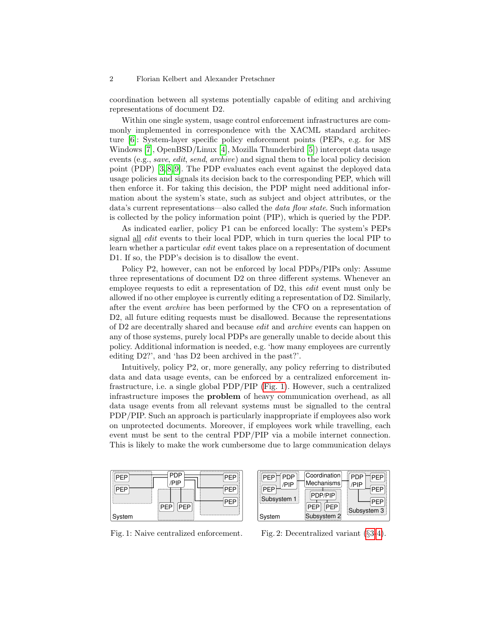coordination between all systems potentially capable of editing and archiving representations of document D2.

Within one single system, usage control enforcement infrastructures are commonly implemented in correspondence with the XACML standard architecture [\[6\]](#page-12-5): System-layer specific policy enforcement points (PEPs, e.g. for MS Windows [\[7\]](#page-12-6), OpenBSD/Linux [\[4\]](#page-12-3), Mozilla Thunderbird [\[5\]](#page-12-4)) intercept data usage events (e.g., save, edit, send, archive) and signal them to the local policy decision point (PDP) [\[3,](#page-12-2) [8,](#page-12-7) [9\]](#page-12-8). The PDP evaluates each event against the deployed data usage policies and signals its decision back to the corresponding PEP, which will then enforce it. For taking this decision, the PDP might need additional information about the system's state, such as subject and object attributes, or the data's current representations—also called the data flow state. Such information is collected by the policy information point (PIP), which is queried by the PDP.

As indicated earlier, policy P1 can be enforced locally: The system's PEPs signal all edit events to their local PDP, which in turn queries the local PIP to learn whether a particular edit event takes place on a representation of document D1. If so, the PDP's decision is to disallow the event.

Policy P2, however, can not be enforced by local PDPs/PIPs only: Assume three representations of document D2 on three different systems. Whenever an employee requests to edit a representation of D2, this *edit* event must only be allowed if no other employee is currently editing a representation of D2. Similarly, after the event archive has been performed by the CFO on a representation of D2, all future editing requests must be disallowed. Because the representations of D2 are decentrally shared and because edit and archive events can happen on any of those systems, purely local PDPs are generally unable to decide about this policy. Additional information is needed, e.g. 'how many employees are currently editing D2?', and 'has D2 been archived in the past?'.

Intuitively, policy P2, or, more generally, any policy referring to distributed data and data usage events, can be enforced by a centralized enforcement infrastructure, i.e. a single global PDP/PIP [\(Fig. 1\)](#page-1-0). However, such a centralized infrastructure imposes the problem of heavy communication overhead, as all data usage events from all relevant systems must be signalled to the central PDP/PIP. Such an approach is particularly inappropriate if employees also work on unprotected documents. Moreover, if employees work while travelling, each event must be sent to the central PDP/PIP via a mobile internet connection. This is likely to make the work cumbersome due to large communication delays



<span id="page-1-0"></span>

Fig. 1: Naive centralized enforcement.

Fig. 2: Decentralized variant (§[3-](#page-5-0)[4\)](#page-7-0).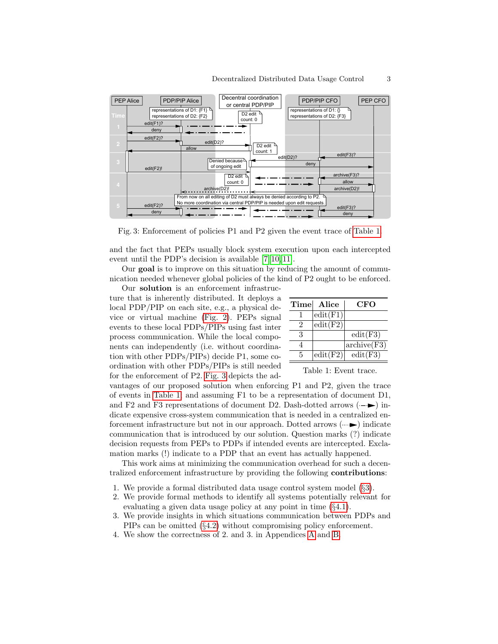<span id="page-2-1"></span>

Fig. 3: Enforcement of policies P1 and P2 given the event trace of [Table 1.](#page-2-0)

and the fact that PEPs usually block system execution upon each intercepted event until the PDP's decision is available [\[7,](#page-12-6) [10,](#page-12-9) [11\]](#page-12-10).

Our goal is to improve on this situation by reducing the amount of communication needed whenever global policies of the kind of P2 ought to be enforced.

Our solution is an enforcement infrastructure that is inherently distributed. It deploys a local PDP/PIP on each site, e.g., a physical device or virtual machine [\(Fig. 2\)](#page-1-0). PEPs signal events to these local PDPs/PIPs using fast inter process communication. While the local components can independently (i.e. without coordination with other PDPs/PIPs) decide P1, some coordination with other PDPs/PIPs is still needed for the enforcement of P2. [Fig. 3](#page-2-1) depicts the ad-

<span id="page-2-0"></span>

| Time        | Alice    | CFO            |
|-------------|----------|----------------|
|             | edit(F1) |                |
| ' $\lambda$ | edit(F2) |                |
| 3           |          | edit(F3)       |
|             |          | $\archive(F3)$ |
| 5           | edit(F2) | edit(F3)       |

Table 1: Event trace.

vantages of our proposed solution when enforcing P1 and P2, given the trace of events in [Table 1;](#page-2-0) and assuming F1 to be a representation of document D1, and F2 and F3 representations of document D2. Dash-dotted arrows  $(-\blacktriangleright)$  indicate expensive cross-system communication that is needed in a centralized enforcement infrastructure but not in our approach. Dotted arrows  $(\cdots \rightarrow)$  indicate communication that is introduced by our solution. Question marks (?) indicate decision requests from PEPs to PDPs if intended events are intercepted. Exclamation marks (!) indicate to a PDP that an event has actually happened.

This work aims at minimizing the communication overhead for such a decentralized enforcement infrastructure by providing the following contributions:

- 1. We provide a formal distributed data usage control system model (§[3\)](#page-5-0).
- 2. We provide formal methods to identify all systems potentially relevant for evaluating a given data usage policy at any point in time (§[4.1\)](#page-7-1).
- 3. We provide insights in which situations communication between PDPs and PIPs can be omitted (§[4.2\)](#page-8-0) without compromising policy enforcement.
- 4. We show the correctness of 2. and 3. in Appendices [A](#page-13-0) and [B.](#page-14-0)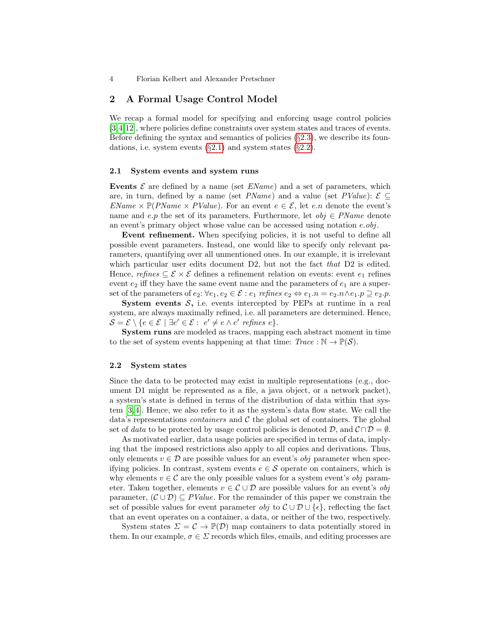## <span id="page-3-2"></span>2 A Formal Usage Control Model

We recap a formal model for specifying and enforcing usage control policies [\[3,](#page-12-2)[4,](#page-12-3)[12\]](#page-12-11), where policies define constraints over system states and traces of events. Before defining the syntax and semantics of policies  $(\S 2.3)$  $(\S 2.3)$ , we describe its foundations, i.e. system events  $(\S2.1)$  $(\S2.1)$  and system states  $(\S2.2)$  $(\S2.2)$ .

#### <span id="page-3-0"></span>2.1 System events and system runs

Events  $\mathcal E$  are defined by a name (set  $EName$ ) and a set of parameters, which are, in turn, defined by a name (set PName) and a value (set PValue):  $\mathcal{E} \subseteq$ EName  $\times \mathbb{P}(PName \times PValue)$ . For an event  $e \in \mathcal{E}$ , let e.n denote the event's name and e.p the set of its parameters. Furthermore, let  $obj \in \textit{PName}$  denote an event's primary object whose value can be accessed using notation  $e.$  obj.

Event refinement. When specifying policies, it is not useful to define all possible event parameters. Instead, one would like to specify only relevant parameters, quantifying over all unmentioned ones. In our example, it is irrelevant which particular user edits document D2, but not the fact that D2 is edited. Hence, refines  $\subseteq \mathcal{E} \times \mathcal{E}$  defines a refinement relation on events: event  $e_1$  refines event  $e_2$  iff they have the same event name and the parameters of  $e_1$  are a superset of the parameters of  $e_2: \forall e_1, e_2 \in \mathcal{E} : e_1$  refines  $e_2 \Leftrightarrow e_1.n = e_2.n \wedge e_1.p \supseteq e_2.p$ .

System events  $S$ , i.e. events intercepted by PEPs at runtime in a real system, are always maximally refined, i.e. all parameters are determined. Hence,  $\mathcal{S} = \mathcal{E} \setminus \{e \in \mathcal{E} \mid \exists e' \in \mathcal{E} : e' \neq e \land e' \text{ refines } e\}.$ 

System runs are modeled as traces, mapping each abstract moment in time to the set of system events happening at that time:  $Trace : \mathbb{N} \to \mathbb{P}(\mathcal{S})$ .

#### <span id="page-3-1"></span>2.2 System states

Since the data to be protected may exist in multiple representations (e.g., document D1 might be represented as a file, a java object, or a network packet), a system's state is defined in terms of the distribution of data within that system [\[3,](#page-12-2) [4\]](#page-12-3). Hence, we also refer to it as the system's data flow state. We call the data's representations *containers* and  $C$  the global set of containers. The global set of data to be protected by usage control policies is denoted  $\mathcal{D}$ , and  $\mathcal{C} \cap \mathcal{D} = \emptyset$ .

As motivated earlier, data usage policies are specified in terms of data, implying that the imposed restrictions also apply to all copies and derivations. Thus, only elements  $v \in \mathcal{D}$  are possible values for an event's *obj* parameter when specifying policies. In contrast, system events  $e \in \mathcal{S}$  operate on containers, which is why elements  $v \in \mathcal{C}$  are the only possible values for a system event's *obj* parameter. Taken together, elements  $v \in \mathcal{C} \cup \mathcal{D}$  are possible values for an event's *obj* parameter,  $(C \cup D) \subseteq \text{Value}$ . For the remainder of this paper we constrain the set of possible values for event parameter  $obj$  to  $\mathcal{C} \cup \mathcal{D} \cup \{\epsilon\}$ , reflecting the fact that an event operates on a container, a data, or neither of the two, respectively.

System states  $\Sigma = \mathcal{C} \to \mathbb{P}(\mathcal{D})$  map containers to data potentially stored in them. In our example,  $\sigma \in \Sigma$  records which files, emails, and editing processes are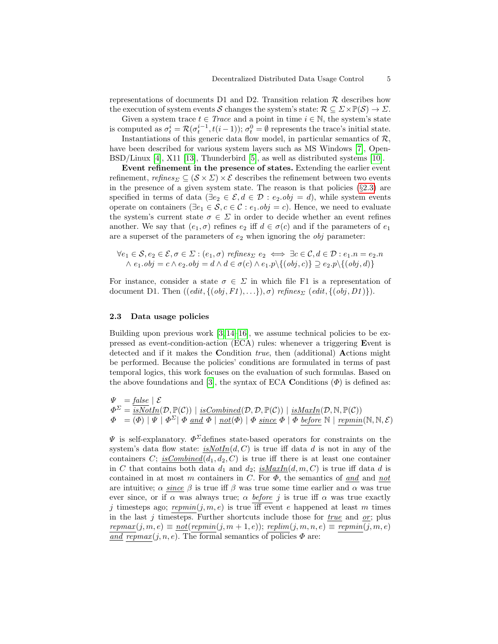representations of documents D1 and D2. Transition relation  $\mathcal R$  describes how the execution of system events S changes the system's state:  $\mathcal{R} \subseteq \Sigma \times \mathbb{P}(\mathcal{S}) \to \Sigma$ .

Given a system trace  $t \in Trace$  and a point in time  $i \in \mathbb{N}$ , the system's state is computed as  $\sigma_t^i = \mathcal{R}(\sigma_t^{i-1}, t(i-1)); \sigma_t^0 = \emptyset$  represents the trace's initial state.

Instantiations of this generic data flow model, in particular semantics of  $\mathcal{R}$ , have been described for various system layers such as MS Windows [\[7\]](#page-12-6), Open-BSD/Linux [\[4\]](#page-12-3), X11 [\[13\]](#page-12-12), Thunderbird [\[5\]](#page-12-4), as well as distributed systems [\[10\]](#page-12-9).

Event refinement in the presence of states. Extending the earlier event refinement,  $refiness \subseteq (\mathcal{S} \times \Sigma) \times \mathcal{E}$  describes the refinement between two events in the presence of a given system state. The reason is that policies  $(\S2.3)$  $(\S2.3)$  are specified in terms of data ( $\exists e_2 \in \mathcal{E}, d \in \mathcal{D} : e_2 \cdot obj = d$ ), while system events operate on containers ( $\exists e_1 \in \mathcal{S}, c \in \mathcal{C} : e_1 \cdot obj = c$ ). Hence, we need to evaluate the system's current state  $\sigma \in \Sigma$  in order to decide whether an event refines another. We say that  $(e_1, \sigma)$  refines  $e_2$  iff  $d \in \sigma(c)$  and if the parameters of  $e_1$ are a superset of the parameters of  $e_2$  when ignoring the *obj* parameter:

$$
\forall e_1 \in \mathcal{S}, e_2 \in \mathcal{E}, \sigma \in \Sigma : (e_1, \sigma) \text{ refines}_{\Sigma} e_2 \iff \exists c \in \mathcal{C}, d \in \mathcal{D} : e_1 \ldots = e_2 \ldots \land e_1 \ldots bj = c \land e_2 \ldots bj = d \land d \in \sigma(c) \land e_1 \ldots \land \{(obj, c)\} \supseteq e_2 \ldots \land \{(obj, d)\}
$$

For instance, consider a state  $\sigma \in \Sigma$  in which file F1 is a representation of document D1. Then  $((edit, \{(obj, F1), \ldots\}), \sigma)$  refines<sub>Σ</sub>  $(edit, \{(obj, D1)\}).$ 

#### <span id="page-4-0"></span>2.3 Data usage policies

Building upon previous work  $[3, 14-16]$  $[3, 14-16]$  $[3, 14-16]$ , we assume technical policies to be expressed as event-condition-action (ECA) rules: whenever a triggering Event is detected and if it makes the Condition true, then (additional) Actions might be performed. Because the policies' conditions are formulated in terms of past temporal logics, this work focuses on the evaluation of such formulas. Based on the above foundations and [\[3\]](#page-12-2), the syntax of ECA Conditions  $(\Phi)$  is defined as:

$$
\Psi = \text{false} \mid \mathcal{E}
$$
\n
$$
\Phi^{\Sigma} = \frac{isNotIn(\mathcal{D}, \mathbb{P}(\mathcal{C})) \mid isCombined(\mathcal{D}, \mathcal{D}, \mathbb{P}(\mathcal{C})) \mid isMaxIn(\mathcal{D}, \mathbb{N}, \mathbb{P}(\mathcal{C}))}{\Phi = (\Phi) \mid \Psi \mid \Phi^{\Sigma} \mid \Phi \text{ and } \Phi \mid not(\Phi) \mid \Phi \text{ since } \Phi \mid \Phi \text{ before } \mathbb{N} \mid \text{repmin}(\mathbb{N}, \mathbb{N}, \mathcal{E})
$$

 $\Psi$  is self-explanatory.  $\Phi^{\Sigma}$  defines state-based operators for constraints on the system's data flow state:  $isNotIn(d, C)$  is true iff data d is not in any of the containers C; is Combined(d<sub>1</sub>, d<sub>2</sub>, C) is true iff there is at least one container in C that contains both data  $d_1$  and  $d_2$ ; is  $MaxIn(d, m, C)$  is true iff data d is contained in at most m containers in C. For  $\Phi$ , the semantics of and and not are intuitive;  $\alpha$  since  $\beta$  is true iff  $\beta$  was true some time earlier and  $\alpha$  was true ever since, or if  $\alpha$  was always true;  $\alpha$  before j is true iff  $\alpha$  was true exactly j timesteps ago;  $repmin(j, m, e)$  is true iff event e happened at least m times in the last j timesteps. Further shortcuts include those for *true* and  $or$ ; plus  $repmax(j, m, e) \equiv \underline{not}(repmin(j, m + 1, e));$   $replim(j, m, n, e) \equiv repmin(j, m, e)$ <u>and</u> repmax(j, n, e). The formal semantics of policies  $\Phi$  are: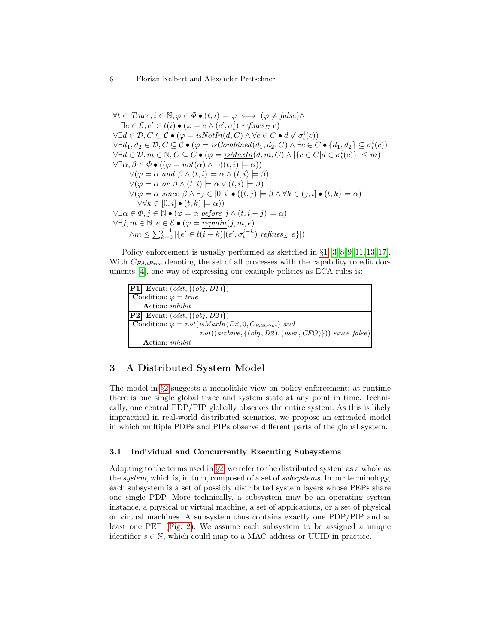$$
\forall t \in Trace, i \in \mathbb{N}, \varphi \in \Phi \bullet (t, i) \models \varphi \iff (\varphi \neq false) \land \exists e \in \mathcal{E}, e' \in t(i) \bullet (\varphi = e \land (e', \sigma_t^i) \text{ refines } x e) \n\lor \exists d \in \mathcal{D}, C \subseteq \mathcal{C} \bullet (\varphi = \underline{isNotIn}(d, C) \land \forall c \in C \bullet d \notin \sigma_t^i(c)) \n\lor \exists d_1, d_2 \in \mathcal{D}, C \subseteq \mathcal{C} \bullet (\varphi = \underline{isCountined}(d_1, d_2, C) \land \exists c \in C \bullet \{d_1, d_2\} \subseteq \sigma_t^i(c)) \n\lor \exists d \in \mathcal{D}, m \in \mathbb{N}, C \subseteq C \bullet (\varphi = \underline{isCountined}(d_1, d_2, C) \land \exists c \in C \bullet \{d_1, d_2\} \subseteq \sigma_t^i(c)) \n\lor \exists \alpha, \beta \in \Phi \bullet ((\varphi = \underline{not}(\alpha) \land \neg((t, i) \models \alpha)) \n\lor (\varphi = \alpha \underline{ and } \beta \land (t, i) \models \alpha \lor (t, i) \models \beta) \n\lor (\varphi = \alpha \underline{ or } \beta \land (t, i) \models \alpha \lor (t, i) \models \beta) \n\lor (\varphi = \alpha \underline{ since } \beta \land \exists j \in [0, i] \bullet ((t, j) \models \beta \land \forall k \in (j, i] \bullet (t, k) \models \alpha) \n\lor \forall k \in [0, i] \bullet (t, k) \models \alpha) \n\lor \exists \alpha \in \Phi, j \in \mathbb{N} \bullet (\varphi = \alpha \underline{ before } j \land (t, i - j) \models \alpha) \n\lor \exists j, m \in \mathbb{N}, e \in \mathcal{E} \bullet (\varphi = \underline{reprim}(j, m, e) \n\land m \leq \sum_{k=0}^{j-1} |\{e' \in t(i - k)| (e', \sigma_t^{i-k}) \text{ refines}_{\mathcal{D}} e\}|)
$$

Policy enforcement is usually performed as sketched in  $\S1$  $\S1$  [\[3,](#page-12-2) [8,](#page-12-7) [9,](#page-12-8) [11,](#page-12-10) [13,](#page-12-12) [17\]](#page-12-15). With  $C_{EditProc}$  denoting the set of all processes with the capability to edit documents [\[4\]](#page-12-3), one way of expressing our example policies as ECA rules is:

| P1                                                                                                                                                                                                                | Event: (edit, {(obj, D1)}) |
|-------------------------------------------------------------------------------------------------------------------------------------------------------------------------------------------------------------------|----------------------------|
| Condition: $\varphi = \underline{true}$                                                                                                                                                                           |                            |
| Action: $inhibit$                                                                                                                                                                                                 |                            |
| P2                                                                                                                                                                                                                | Event: (edit, {(obj, D2)}) |
| Condition: $\varphi = \underline{not}(\underline{isMaxIn}(D2, 0, C_{EditProc}) \underline{and} \underline{not}((\underline{archive}, {(obj, D2)}, (\underline{user}, CFO)))) \underline{since \underline{false}}$ |                            |
| Action: $inhibit$                                                                                                                                                                                                 |                            |

# <span id="page-5-0"></span>3 A Distributed System Model

The model in  $\S2$  $\S2$  suggests a monolithic view on policy enforcement: at runtime there is one single global trace and system state at any point in time. Technically, one central PDP/PIP globally observes the entire system. As this is likely impractical in real-world distributed scenarios, we propose an extended model in which multiple PDPs and PIPs observe different parts of the global system.

#### 3.1 Individual and Concurrently Executing Subsystems

Adapting to the terms used in §[2,](#page-3-2) we refer to the distributed system as a whole as the system, which is, in turn, composed of a set of subsystems. In our terminology, each subsystem is a set of possibly distributed system layers whose PEPs share one single PDP. More technically, a subsystem may be an operating system instance, a physical or virtual machine, a set of applications, or a set of physical or virtual machines. A subsystem thus contains exactly one PDP/PIP and at least one PEP [\(Fig. 2\)](#page-1-0). We assume each subsystem to be assigned a unique identifier  $s \in \mathbb{N}$ , which could map to a MAC address or UUID in practice.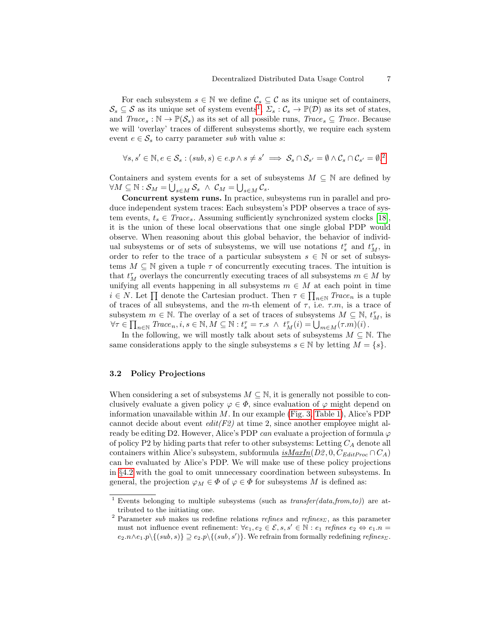For each subsystem  $s \in \mathbb{N}$  we define  $\mathcal{C}_s \subseteq \mathcal{C}$  as its unique set of containers,  $\mathcal{S}_s \subseteq \mathcal{S}$  as its unique set of system events<sup>[1](#page-6-0)</sup>,  $\Sigma_s : \mathcal{C}_s \to \mathbb{P}(\mathcal{D})$  as its set of states, and  $Trace_s : \mathbb{N} \to \mathbb{P}(\mathcal{S}_s)$  as its set of all possible runs,  $Trace_s \subseteq Trace$ . Because we will 'overlay' traces of different subsystems shortly, we require each system event  $e \in S_s$  to carry parameter sub with value s:

$$
\forall s, s' \in \mathbb{N}, e \in \mathcal{S}_s : (sub, s) \in e \cdot p \land s \neq s' \implies \mathcal{S}_s \cap \mathcal{S}_{s'} = \emptyset \land \mathcal{C}_s \cap \mathcal{C}_{s'} = \emptyset.
$$

Containers and system events for a set of subsystems  $M \subseteq \mathbb{N}$  are defined by  $\forall M \subseteq \mathbb{N}: \mathcal{S}_M = \dot{\bigcup}_{s \in M} \mathcal{S}_s \ \wedge \ \mathcal{C}_M = \bigcup_{s \in M} \mathcal{C}_s.$ 

Concurrent system runs. In practice, subsystems run in parallel and produce independent system traces: Each subsystem's PDP observes a trace of system events,  $t_s \in Trace_s$ . Assuming sufficiently synchronized system clocks [\[18\]](#page-12-16), it is the union of these local observations that one single global PDP would observe. When reasoning about this global behavior, the behavior of individual subsystems or of sets of subsystems, we will use notations  $t_s^{\tau}$  and  $t_M^{\tau}$ , in order to refer to the trace of a particular subsystem  $s \in \mathbb{N}$  or set of subsystems  $M \subseteq \mathbb{N}$  given a tuple  $\tau$  of concurrently executing traces. The intuition is that  $t_M^{\tau}$  overlays the concurrently executing traces of all subsystems  $m \in M$  by unifying all events happening in all subsystems  $m \in M$  at each point in time  $i \in N$ . Let  $\prod$  denote the Cartesian product. Then  $\tau \in \prod_{n \in \mathbb{N}} Trace_n$  is a tuple of traces of all subsystems, and the m-th element of  $\tau$ , i.e.  $\tau.m$ , is a trace of subsystem  $m \in \mathbb{N}$ . The overlay of a set of traces of subsystems  $M \subseteq \mathbb{N}$ ,  $t_M^{\tau}$ , is  $\forall \tau \in \prod_{n \in \mathbb{N}} \text{Trace}_n, i, s \in \mathbb{N}, M \subseteq \mathbb{N} : t_s^{\tau} = \tau.s \ \wedge \ t_M^{\tau}(i) = \bigcup_{m \in M} (\tau.m)(i)$ .

In the following, we will mostly talk about sets of subsystems  $M \subseteq \mathbb{N}$ . The same considerations apply to the single subsystems  $s \in \mathbb{N}$  by letting  $M = \{s\}.$ 

### 3.2 Policy Projections

When considering a set of subsystems  $M \subseteq \mathbb{N}$ , it is generally not possible to conclusively evaluate a given policy  $\varphi \in \Phi$ , since evaluation of  $\varphi$  might depend on information unavailable within  $M$ . In our example [\(Fig. 3,](#page-2-1) [Table 1\)](#page-2-0), Alice's PDP cannot decide about event  $edit(F2)$  at time 2, since another employee might already be editing D2. However, Alice's PDP can evaluate a projection of formula  $\varphi$ of policy P2 by hiding parts that refer to other subsystems: Letting  $C_A$  denote all containers within Alice's subsystem, subformula  $\frac{isMaxIn(D2, 0, C_{EditProc} \cap C_A)}{smaxIn(D2, 0, C_{EditProc} \cap C_A)}$ can be evaluated by Alice's PDP. We will make use of these policy projections in §[4.2](#page-8-0) with the goal to omit unnecessary coordination between subsystems. In general, the projection  $\varphi_M \in \Phi$  of  $\varphi \in \Phi$  for subsystems M is defined as:

<span id="page-6-0"></span><sup>&</sup>lt;sup>1</sup> Events belonging to multiple subsystems (such as  $transfer(data, from, to)$ ) are attributed to the initiating one.

<span id="page-6-1"></span><sup>&</sup>lt;sup>2</sup> Parameter sub makes us redefine relations refines and refines<sub>Σ</sub>, as this parameter must not influence event refinement:  $\forall e_1, e_2 \in \mathcal{E}, s, s' \in \mathbb{N}$ :  $e_1$  refines  $e_2 \Leftrightarrow e_1.n =$  $e_2.n \wedge e_1.p \setminus \{(sub, s)\} \supseteq e_2.p \setminus \{(sub, s')\}.$  We refrain from formally redefining refiness.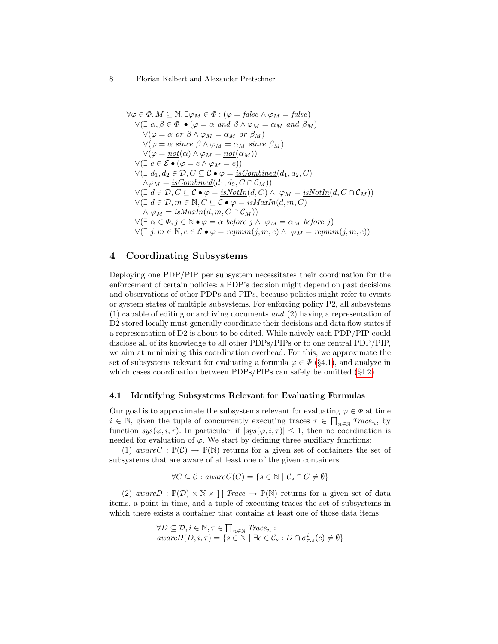$$
\forall \varphi \in \Phi, M \subseteq \mathbb{N}, \exists \varphi_M \in \Phi : (\varphi = false \land \varphi_M = false)
$$
  
\n
$$
\lor (\exists \alpha, \beta \in \Phi \bullet (\varphi = \alpha \text{ and } \beta \land \varphi_M = \alpha_M \text{ and } \beta_M)
$$
  
\n
$$
\lor (\varphi = \alpha \text{ or } \beta \land \varphi_M = \alpha_M \text{ or } \beta_M)
$$
  
\n
$$
\lor (\varphi = \alpha \text{ since } \beta \land \varphi_M = \alpha_M \text{ since } \beta_M)
$$
  
\n
$$
\lor (\varphi = \text{not}(\alpha) \land \varphi_M = \text{not}(\alpha_M))
$$
  
\n
$$
\lor (\exists e \in \mathcal{E} \bullet (\varphi = e \land \varphi_M = e))
$$
  
\n
$$
\lor (\exists d_1, d_2 \in \mathcal{D}, C \subseteq \mathcal{C} \bullet \varphi = isCombined(d_1, d_2, C)
$$
  
\n
$$
\land \varphi_M = isCombined(d_1, d_2, C \cap C_M))
$$
  
\n
$$
\lor (\exists d \in \mathcal{D}, C \subseteq \mathcal{C} \bullet \varphi = isNotIn(d, C) \land \varphi_M = isNotIn(d, C \cap C_M))
$$
  
\n
$$
\lor (\exists d \in \mathcal{D}, m \in \mathbb{N}, C \subseteq \mathcal{C} \bullet \varphi = isMaxIn(d, m, C)
$$
  
\n
$$
\land \varphi_M = isMaxIn(d, m, C \cap C_M))
$$
  
\n
$$
\lor (\exists \alpha \in \Phi, j \in \mathbb{N} \bullet \varphi = \alpha \text{ before } j \land \varphi_M = \alpha_M \text{ before } j)
$$
  
\n
$$
\lor (\exists j, m \in \mathbb{N}, e \in \mathcal{E} \bullet \varphi = \overline{repmin}(j, m, e) \land \varphi_M = \overline{repmin}(j, m, e))
$$

### <span id="page-7-0"></span>4 Coordinating Subsystems

Deploying one PDP/PIP per subsystem necessitates their coordination for the enforcement of certain policies: a PDP's decision might depend on past decisions and observations of other PDPs and PIPs, because policies might refer to events or system states of multiple subsystems. For enforcing policy P2, all subsystems (1) capable of editing or archiving documents and (2) having a representation of D2 stored locally must generally coordinate their decisions and data flow states if a representation of D2 is about to be edited. While naively each PDP/PIP could disclose all of its knowledge to all other PDPs/PIPs or to one central PDP/PIP, we aim at minimizing this coordination overhead. For this, we approximate the set of subsystems relevant for evaluating a formula  $\varphi \in \Phi$  (§[4.1\)](#page-7-1), and analyze in which cases coordination between PDPs/PIPs can safely be omitted (§[4.2\)](#page-8-0).

#### <span id="page-7-1"></span>4.1 Identifying Subsystems Relevant for Evaluating Formulas

Our goal is to approximate the subsystems relevant for evaluating  $\varphi \in \Phi$  at time  $i \in \mathbb{N}$ , given the tuple of concurrently executing traces  $\tau \in \prod_{n \in \mathbb{N}} Trace_n$ , by function  $sys(\varphi, i, \tau)$ . In particular, if  $|sys(\varphi, i, \tau)| \leq 1$ , then no coordination is needed for evaluation of  $\varphi$ . We start by defining three auxiliary functions:

(1) aware  $C : \mathbb{P}(\mathcal{C}) \to \mathbb{P}(\mathbb{N})$  returns for a given set of containers the set of subsystems that are aware of at least one of the given containers:

$$
\forall C \subseteq \mathcal{C} : awareC(C) = \{ s \in \mathbb{N} \mid C_s \cap C \neq \emptyset \}
$$

(2) aware  $D : \mathbb{P}(\mathcal{D}) \times \mathbb{N} \times \prod$  Trace  $\rightarrow \mathbb{P}(\mathbb{N})$  returns for a given set of data items, a point in time, and a tuple of executing traces the set of subsystems in which there exists a container that contains at least one of those data items:

$$
\forall D \subseteq \mathcal{D}, i \in \mathbb{N}, \tau \in \prod_{n \in \mathbb{N}} Trace_n :
$$
  
 
$$
awareD(D, i, \tau) = \{s \in \mathbb{N} \mid \exists c \in \mathcal{C}_s : D \cap \sigma_{\tau, s}^i(c) \neq \emptyset\}
$$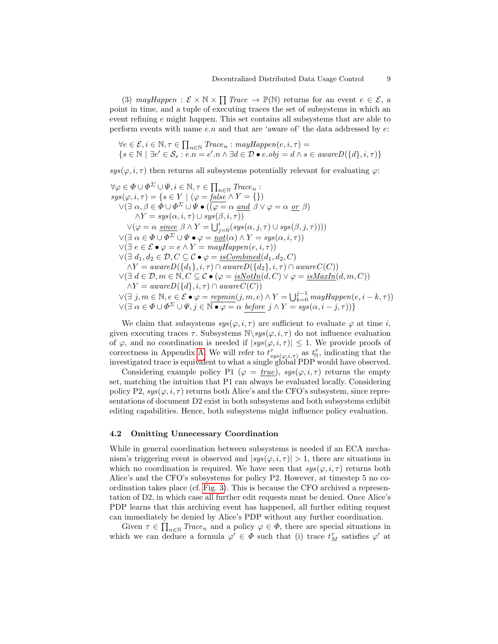(3) mayHappen :  $\mathcal{E} \times \mathbb{N} \times \prod Trace \rightarrow \mathbb{P}(\mathbb{N})$  returns for an event  $e \in \mathcal{E}$ , a point in time, and a tuple of executing traces the set of subsystems in which an event refining e might happen. This set contains all subsystems that are able to perform events with name  $e.n$  and that are 'aware of' the data addressed by  $e$ :

$$
\forall e \in \mathcal{E}, i \in \mathbb{N}, \tau \in \prod_{n \in \mathbb{N}} Trace_n : mayHappen(e, i, \tau) =
$$
  

$$
\{s \in \mathbb{N} \mid \exists e' \in \mathcal{S}_s : e.n = e'.n \land \exists d \in \mathcal{D} \bullet e. obj = d \land s \in awareD(\{d\}, i, \tau)\}
$$

 $sys(\varphi, i, \tau)$  then returns all subsystems potentially relevant for evaluating  $\varphi$ :

$$
\forall \varphi \in \Phi \cup \Phi^{\Sigma} \cup \Psi, i \in \mathbb{N}, \tau \in \prod_{n \in \mathbb{N}} Trace_n :sys(\varphi, i, \tau) = \{s \in Y \mid (\varphi = false \land Y = \{\})\lor (\exists \alpha, \beta \in \Phi \cup \Phi^{\Sigma} \cup \Psi \bullet ((\varphi = \alpha \text{ and } \beta \lor \varphi = \alpha \text{ or } \beta)\land Y = sys(\alpha, i, \tau) \cup sys(\beta, i, \tau))\lor (\varphi = \alpha \text{ since } \beta \land Y = \bigcup_{j=0}^{i} (sys(\alpha, j, \tau) \cup sys(\beta, j, \tau))))\lor (\exists \alpha \in \Phi \cup \Phi^{\Sigma} \cup \Psi \bullet \varphi = not(\alpha) \land Y = sys(\alpha, i, \tau))\lor (\exists \alpha \in \Phi \cup \Phi^{\Sigma} \cup \Psi \bullet \varphi = not(\alpha) \land Y = sys(\alpha, i, \tau))\lor (\exists d_1, d_2 \in \mathcal{D}, C \subseteq \mathcal{C} \bullet \varphi = isCombined(d_1, d_2, C)\land Y = awareD(\{d_1\}, i, \tau) \cap awareD(\{d_2\}, i, \tau) \cap aware(C(C))\lor (\exists d \in \mathcal{D}, m \in \mathbb{N}, C \subseteq \mathcal{C} \bullet (\varphi = isNotIn(d, C) \lor \varphi = isMaxIn(d, m, C))\land Y = awareD(\{d\}, i, \tau) \cap aware(C(C))\lor (\exists j, m \in \mathbb{N}, e \in \mathcal{E} \bullet \varphi = repmin(j, m, e) \land Y = \bigcup_{k=0}^{j-1} mayHappen(e, i - k, \tau))\lor (\exists \alpha \in \Phi \cup \Phi^{\Sigma} \cup \Psi, j \in \mathbb{N} \bullet \varphi = \alpha \text{ before } j \land Y = sys(\alpha, i - j, \tau))
$$

We claim that subsystems  $sys(\varphi, i, \tau)$  are sufficient to evaluate  $\varphi$  at time i, given executing traces  $\tau$ . Subsystems  $\mathbb{N}\succeq s(\varphi, i, \tau)$  do not influence evaluation of  $\varphi$ , and no coordination is needed if  $|sys(\varphi, i, \tau)| \leq 1$ . We provide proofs of correctness in Appendix [A.](#page-13-0) We will refer to  $t_{sys(\varphi,i,\tau)}^{\tau}$  as  $t_{\mathbb{N}}^{\tau}$ , indicating that the investigated trace is equivalent to what a single global PDP would have observed.

Considering example policy P1 ( $\varphi = \text{true}$ ),  $\text{sys}(\varphi, i, \tau)$  returns the empty set, matching the intuition that P1 can always be evaluated locally. Considering policy P2,  $sys(\varphi, i, \tau)$  returns both Alice's and the CFO's subsystem, since representations of document D2 exist in both subsystems and both subsystems exhibit editing capabilities. Hence, both subsystems might influence policy evaluation.

### <span id="page-8-0"></span>4.2 Omitting Unnecessary Coordination

While in general coordination between subsystems is needed if an ECA mechanism's triggering event is observed and  $|sys(\varphi, i, \tau)| > 1$ , there are situations in which no coordination is required. We have seen that  $sys(\varphi, i, \tau)$  returns both Alice's and the CFO's subsystems for policy P2. However, at timestep 5 no coordination takes place (cf. [Fig. 3\)](#page-2-1). This is because the CFO archived a representation of D2, in which case all further edit requests must be denied. Once Alice's PDP learns that this archiving event has happened, all further editing request can immediately be denied by Alice's PDP without any further coordination.

Given  $\tau \in \prod_{n \in \mathbb{N}} Trace_n$  and a policy  $\varphi \in \Phi$ , there are special situations in which we can deduce a formula  $\varphi' \in \Phi$  such that (i) trace  $t_M^{\tau}$  satisfies  $\varphi'$  at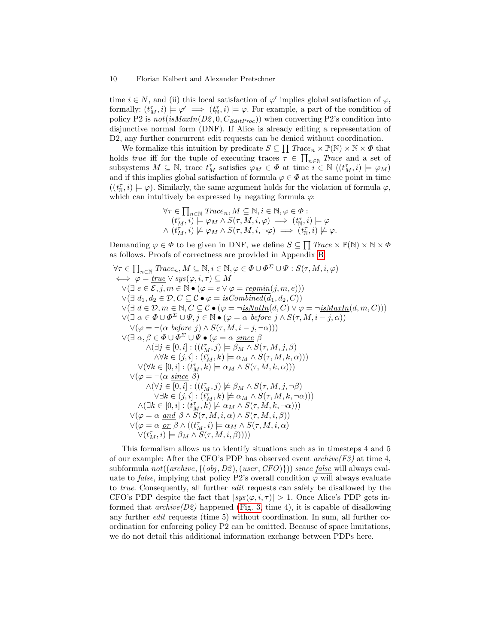time  $i \in N$ , and (ii) this local satisfaction of  $\varphi'$  implies global satisfaction of  $\varphi$ , formally:  $(t_M^{\tau}, i) \models \varphi' \implies (t_N^{\tau}, i) \models \varphi$ . For example, a part of the condition of policy P2 is  $\underline{not}(isMaxIn(D2, 0, C_{EditProc}))$  when converting P2's condition into disjunctive normal form (DNF). If Alice is already editing a representation of D2, any further concurrent edit requests can be denied without coordination.

We formalize this intuition by predicate  $S \subseteq \prod Trace_n \times \mathbb{P}(\mathbb{N}) \times \mathbb{N} \times \Phi$  that holds true iff for the tuple of executing traces  $\tau \in \prod_{n\in\mathbb{N}} Trace$  and a set of subsystems  $M \subseteq \mathbb{N}$ , trace  $t_M^{\tau}$  satisfies  $\varphi_M \in \Phi$  at time  $i \in \mathbb{N}$   $((t_M^{\tau}, i) \models \varphi_M)$ and if this implies global satisfaction of formula  $\varphi \in \Phi$  at the same point in time  $((t_N^{\tau}, i) \models \varphi)$ . Similarly, the same argument holds for the violation of formula  $\varphi$ , which can intuitively be expressed by negating formula  $\varphi$ :

$$
\forall \tau \in \prod_{n \in \mathbb{N}} Trace_n, M \subseteq \mathbb{N}, i \in \mathbb{N}, \varphi \in \Phi: \\ (t_M^{\tau}, i) \models \varphi_M \wedge S(\tau, M, i, \varphi) \implies (t_N^{\tau}, i) \models \varphi \\ \wedge (t_M^{\tau}, i) \not\models \varphi_M \wedge S(\tau, M, i, \neg \varphi) \implies (t_N^{\tau}, i) \not\models \varphi.
$$

Demanding  $\varphi \in \Phi$  to be given in DNF, we define  $S \subseteq \prod_{i} Trace \times \mathbb{P}(\mathbb{N}) \times \mathbb{N} \times \Phi$ as follows. Proofs of correctness are provided in Appendix [B.](#page-14-0)

$$
\forall \tau \in \prod_{n \in \mathbb{N}} Trace_n, M \subseteq \mathbb{N}, i \in \mathbb{N}, \varphi \in \Phi \cup \Phi^{\Sigma} \cup \Psi : S(\tau, M, i, \varphi)
$$
  
\n
$$
\iff \varphi = \underline{true} \lor sys(\varphi, i, \tau) \subseteq M
$$
  
\n
$$
\lor (\exists e \in \mathcal{E}, j, m \in \mathbb{N} \bullet (\varphi = e \lor \varphi = \underline{repmn}(j, m, e)))
$$
  
\n
$$
\lor (\exists d_1, d_2 \in \mathcal{D}, C \subseteq \mathcal{C} \bullet \varphi = \underline{isCombined}(d_1, d_2, C))
$$
  
\n
$$
\lor (\exists d \in \mathcal{D}, m \in \mathbb{N}, C \subseteq \mathcal{C} \bullet (\varphi = \neg \underline{isNotIn}(d, C) \lor \varphi = \neg \underline{isMaxIn}(d, m, C)))
$$
  
\n
$$
\lor (\exists \alpha \in \Phi \cup \Phi^{\Sigma} \cup \Psi, j \in \mathbb{N} \bullet (\varphi = \alpha \underline{before} j \land S(\tau, M, i - j, \alpha)))
$$
  
\n
$$
\lor (\varphi = \neg (\alpha \underline{before} j) \land S(\tau, M, i - j, \neg \alpha)))
$$
  
\n
$$
\lor (\exists \alpha, \beta \in \Phi \cup \Phi^{\Sigma} \cup \Psi \bullet (\varphi = \alpha \underline{since} \beta
$$
  
\n
$$
\land (\exists j \in [0, i] : ((t_M^{\tau}, j) \models \beta_M \land S(\tau, M, j, \beta))
$$
  
\n
$$
\land \forall k \in (j, i] : (t_M^{\tau}, k) \models \alpha_M \land S(\tau, M, k, \alpha)))
$$
  
\n
$$
\lor (\varphi = \neg (\alpha \underline{since} \beta)
$$
  
\n
$$
\land (\forall j \in [0, i] : ((t_M^{\tau}, j) \not\models \beta_M \land S(\tau, M, j, \neg \beta))
$$
  
\n
$$
\lor \exists k \in (j, i] : (t_M^{\tau}, k) \not\models \alpha_M \land S(\tau, M, k, \neg \alpha)))
$$
  
\n
$$
\land (\exists k \in [0, i] : (t_M^{\tau}, k) \not\models \alpha_M \land
$$

This formalism allows us to identify situations such as in timesteps 4 and 5 of our example: After the CFO's PDP has observed event  $\archive(F3)$  at time 4, subformula  $not((\text{architecture}, \{(obj, D2), (\text{user}, CFO)\}))$  since false will always evaluate to *false*, implying that policy P2's overall condition  $\varphi$  will always evaluate to true. Consequently, all further edit requests can safely be disallowed by the CFO's PDP despite the fact that  $|sys(\varphi, i, \tau)| > 1$ . Once Alice's PDP gets informed that  $archive(D2)$  happened [\(Fig. 3,](#page-2-1) time 4), it is capable of disallowing any further edit requests (time 5) without coordination. In sum, all further coordination for enforcing policy P2 can be omitted. Because of space limitations, we do not detail this additional information exchange between PDPs here.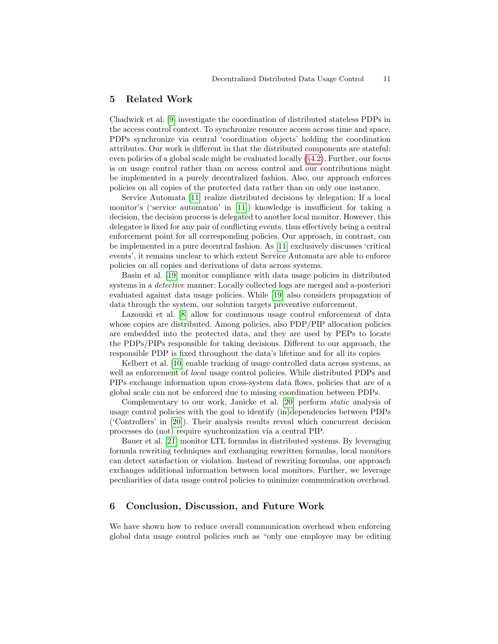### 5 Related Work

Chadwick et al. [\[9\]](#page-12-8) investigate the coordination of distributed stateless PDPs in the access control context. To synchronize resource access across time and space, PDPs synchronize via central 'coordination objects' holding the coordination attributes. Our work is different in that the distributed components are stateful: even policies of a global scale might be evaluated locally (§[4.2\)](#page-8-0). Further, our focus is on usage control rather than on access control and our contributions might be implemented in a purely decentralized fashion. Also, our approach enforces policies on all copies of the protected data rather than on only one instance.

Service Automata [\[11\]](#page-12-10) realize distributed decisions by delegation: If a local monitor's ('service automaton' in [\[11\]](#page-12-10)) knowledge is insufficient for taking a decision, the decision process is delegated to another local monitor. However, this delegatee is fixed for any pair of conflicting events, thus effectively being a central enforcement point for all corresponding policies. Our approach, in contrast, can be implemented in a pure decentral fashion. As [\[11\]](#page-12-10) exclusively discusses 'critical events', it remains unclear to which extent Service Automata are able to enforce policies on all copies and derivations of data across systems.

Basin et al. [\[19\]](#page-12-17) monitor compliance with data usage policies in distributed systems in a detective manner: Locally collected logs are merged and a-posteriori evaluated against data usage policies. While [\[19\]](#page-12-17) also considers propagation of data through the system, our solution targets preventive enforcement.

Lazouski et al. [\[8\]](#page-12-7) allow for continuous usage control enforcement of data whose copies are distributed. Among policies, also PDP/PIP allocation policies are embedded into the protected data, and they are used by PEPs to locate the PDPs/PIPs responsible for taking decisions. Different to our approach, the responsible PDP is fixed throughout the data's lifetime and for all its copies

Kelbert et al. [\[10\]](#page-12-9) enable tracking of usage controlled data across systems, as well as enforcement of *local* usage control policies. While distributed PDPs and PIPs exchange information upon cross-system data flows, policies that are of a global scale can not be enforced due to missing coordination between PDPs.

Complementary to our work, Janicke et al. [\[20\]](#page-12-18) perform static analysis of usage control policies with the goal to identify (in)dependencies between PDPs ('Controllers' in [\[20\]](#page-12-18)). Their analysis results reveal which concurrent decision processes do (not) require synchronization via a central PIP.

Bauer et al. [\[21\]](#page-13-1) monitor LTL formulas in distributed systems. By leveraging formula rewriting techniques and exchanging rewritten formulas, local monitors can detect satisfaction or violation. Instead of rewriting formulas, our approach exchanges additional information between local monitors. Further, we leverage peculiarities of data usage control policies to minimize communication overhead.

# 6 Conclusion, Discussion, and Future Work

We have shown how to reduce overall communication overhead when enforcing global data usage control policies such as "only one employee may be editing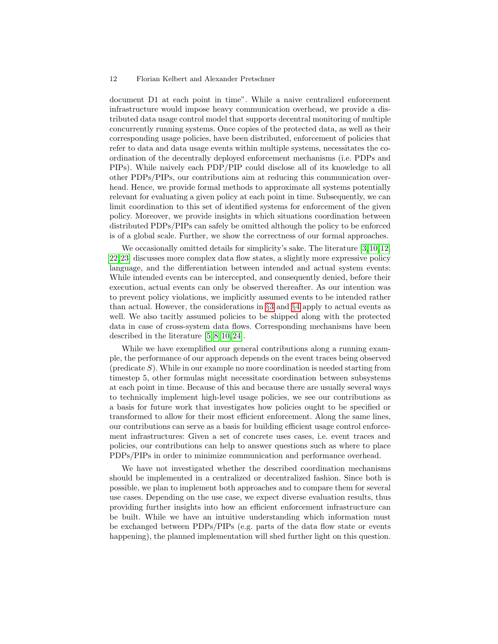document D1 at each point in time". While a naive centralized enforcement infrastructure would impose heavy communication overhead, we provide a distributed data usage control model that supports decentral monitoring of multiple concurrently running systems. Once copies of the protected data, as well as their corresponding usage policies, have been distributed, enforcement of policies that refer to data and data usage events within multiple systems, necessitates the coordination of the decentrally deployed enforcement mechanisms (i.e. PDPs and PIPs). While naively each PDP/PIP could disclose all of its knowledge to all other PDPs/PIPs, our contributions aim at reducing this communication overhead. Hence, we provide formal methods to approximate all systems potentially relevant for evaluating a given policy at each point in time. Subsequently, we can limit coordination to this set of identified systems for enforcement of the given policy. Moreover, we provide insights in which situations coordination between distributed PDPs/PIPs can safely be omitted although the policy to be enforced is of a global scale. Further, we show the correctness of our formal approaches.

We occasionally omitted details for simplicity's sake. The literature [\[3,](#page-12-2)[10,](#page-12-9)[12,](#page-12-11) [22,](#page-13-2)[23\]](#page-13-3) discusses more complex data flow states, a slightly more expressive policy language, and the differentiation between intended and actual system events: While intended events can be intercepted, and consequently denied, before their execution, actual events can only be observed thereafter. As our intention was to prevent policy violations, we implicitly assumed events to be intended rather than actual. However, the considerations in  $\S 3$  $\S 3$  and  $\S 4$  $\S 4$  apply to actual events as well. We also tacitly assumed policies to be shipped along with the protected data in case of cross-system data flows. Corresponding mechanisms have been described in the literature [\[5,](#page-12-4) [8,](#page-12-7) [10,](#page-12-9) [24\]](#page-13-4).

While we have exemplified our general contributions along a running example, the performance of our approach depends on the event traces being observed (predicate  $S$ ). While in our example no more coordination is needed starting from timestep 5, other formulas might necessitate coordination between subsystems at each point in time. Because of this and because there are usually several ways to technically implement high-level usage policies, we see our contributions as a basis for future work that investigates how policies ought to be specified or transformed to allow for their most efficient enforcement. Along the same lines, our contributions can serve as a basis for building efficient usage control enforcement infrastructures: Given a set of concrete uses cases, i.e. event traces and policies, our contributions can help to answer questions such as where to place PDPs/PIPs in order to minimize communication and performance overhead.

We have not investigated whether the described coordination mechanisms should be implemented in a centralized or decentralized fashion. Since both is possible, we plan to implement both approaches and to compare them for several use cases. Depending on the use case, we expect diverse evaluation results, thus providing further insights into how an efficient enforcement infrastructure can be built. While we have an intuitive understanding which information must be exchanged between PDPs/PIPs (e.g. parts of the data flow state or events happening), the planned implementation will shed further light on this question.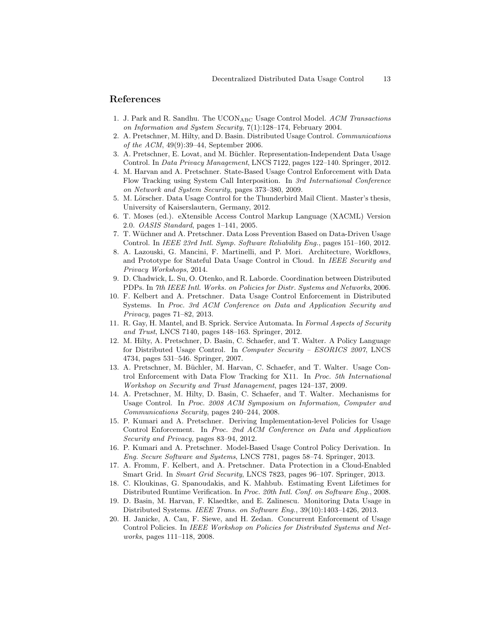### References

- <span id="page-12-0"></span>1. J. Park and R. Sandhu. The UCONABC Usage Control Model. ACM Transactions on Information and System Security, 7(1):128–174, February 2004.
- <span id="page-12-1"></span>2. A. Pretschner, M. Hilty, and D. Basin. Distributed Usage Control. Communications of the ACM, 49(9):39–44, September 2006.
- <span id="page-12-2"></span>3. A. Pretschner, E. Lovat, and M. Büchler. Representation-Independent Data Usage Control. In Data Privacy Management, LNCS 7122, pages 122–140. Springer, 2012.
- <span id="page-12-3"></span>4. M. Harvan and A. Pretschner. State-Based Usage Control Enforcement with Data Flow Tracking using System Call Interposition. In 3rd International Conference on Network and System Security, pages 373–380, 2009.
- <span id="page-12-4"></span>5. M. Lörscher. Data Usage Control for the Thunderbird Mail Client. Master's thesis, University of Kaiserslautern, Germany, 2012.
- <span id="page-12-5"></span>6. T. Moses (ed.). eXtensible Access Control Markup Language (XACML) Version 2.0. OASIS Standard, pages 1–141, 2005.
- <span id="page-12-6"></span>7. T. Wüchner and A. Pretschner. Data Loss Prevention Based on Data-Driven Usage Control. In IEEE 23rd Intl. Symp. Software Reliability Eng., pages 151–160, 2012.
- <span id="page-12-7"></span>8. A. Lazouski, G. Mancini, F. Martinelli, and P. Mori. Architecture, Workflows, and Prototype for Stateful Data Usage Control in Cloud. In IEEE Security and Privacy Workshops, 2014.
- <span id="page-12-8"></span>9. D. Chadwick, L. Su, O. Otenko, and R. Laborde. Coordination between Distributed PDPs. In 7th IEEE Intl. Works. on Policies for Distr. Systems and Networks, 2006.
- <span id="page-12-9"></span>10. F. Kelbert and A. Pretschner. Data Usage Control Enforcement in Distributed Systems. In Proc. 3rd ACM Conference on Data and Application Security and Privacy, pages 71–82, 2013.
- <span id="page-12-10"></span>11. R. Gay, H. Mantel, and B. Sprick. Service Automata. In Formal Aspects of Security and Trust, LNCS 7140, pages 148–163. Springer, 2012.
- <span id="page-12-11"></span>12. M. Hilty, A. Pretschner, D. Basin, C. Schaefer, and T. Walter. A Policy Language for Distributed Usage Control. In Computer Security – ESORICS 2007, LNCS 4734, pages 531–546. Springer, 2007.
- <span id="page-12-12"></span>13. A. Pretschner, M. Büchler, M. Harvan, C. Schaefer, and T. Walter. Usage Control Enforcement with Data Flow Tracking for X11. In Proc. 5th International Workshop on Security and Trust Management, pages 124–137, 2009.
- <span id="page-12-13"></span>14. A. Pretschner, M. Hilty, D. Basin, C. Schaefer, and T. Walter. Mechanisms for Usage Control. In Proc. 2008 ACM Symposium on Information, Computer and Communications Security, pages 240–244, 2008.
- 15. P. Kumari and A. Pretschner. Deriving Implementation-level Policies for Usage Control Enforcement. In Proc. 2nd ACM Conference on Data and Application Security and Privacy, pages 83–94, 2012.
- <span id="page-12-14"></span>16. P. Kumari and A. Pretschner. Model-Based Usage Control Policy Derivation. In Eng. Secure Software and Systems, LNCS 7781, pages 58–74. Springer, 2013.
- <span id="page-12-15"></span>17. A. Fromm, F. Kelbert, and A. Pretschner. Data Protection in a Cloud-Enabled Smart Grid. In Smart Grid Security, LNCS 7823, pages 96–107. Springer, 2013.
- <span id="page-12-16"></span>18. C. Kloukinas, G. Spanoudakis, and K. Mahbub. Estimating Event Lifetimes for Distributed Runtime Verification. In Proc. 20th Intl. Conf. on Software Eng., 2008.
- <span id="page-12-17"></span>19. D. Basin, M. Harvan, F. Klaedtke, and E. Zalinescu. Monitoring Data Usage in Distributed Systems. IEEE Trans. on Software Eng., 39(10):1403–1426, 2013.
- <span id="page-12-18"></span>20. H. Janicke, A. Cau, F. Siewe, and H. Zedan. Concurrent Enforcement of Usage Control Policies. In IEEE Workshop on Policies for Distributed Systems and Networks, pages 111–118, 2008.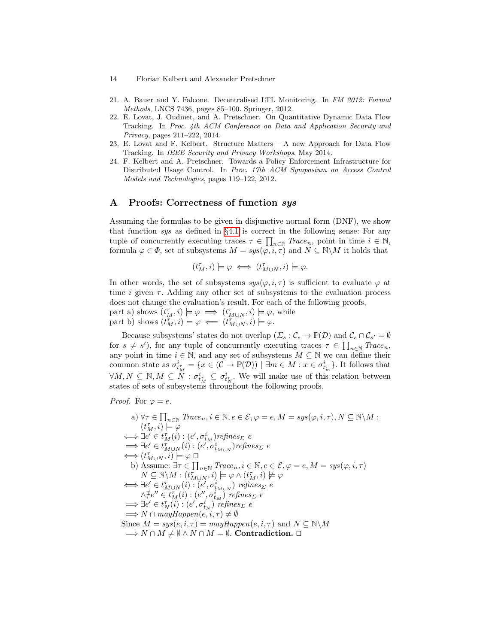- 14 Florian Kelbert and Alexander Pretschner
- <span id="page-13-1"></span>21. A. Bauer and Y. Falcone. Decentralised LTL Monitoring. In FM 2012: Formal Methods, LNCS 7436, pages 85–100. Springer, 2012.
- <span id="page-13-2"></span>22. E. Lovat, J. Oudinet, and A. Pretschner. On Quantitative Dynamic Data Flow Tracking. In Proc. 4th ACM Conference on Data and Application Security and Privacy, pages 211–222, 2014.
- <span id="page-13-3"></span>23. E. Lovat and F. Kelbert. Structure Matters – A new Approach for Data Flow Tracking. In IEEE Security and Privacy Workshops, May 2014.
- <span id="page-13-4"></span>24. F. Kelbert and A. Pretschner. Towards a Policy Enforcement Infrastructure for Distributed Usage Control. In Proc. 17th ACM Symposium on Access Control Models and Technologies, pages 119–122, 2012.

# <span id="page-13-0"></span>A Proofs: Correctness of function sys

Assuming the formulas to be given in disjunctive normal form (DNF), we show that function sys as defined in  $\S 4.1$  $\S 4.1$  is correct in the following sense: For any tuple of concurrently executing traces  $\tau \in \prod_{n\in\mathbb{N}} Trace_n$ , point in time  $i \in \mathbb{N}$ , formula  $\varphi \in \Phi$ , set of subsystems  $M = sys(\varphi, i, \tau)$  and  $N \subseteq \mathbb{N} \backslash M$  it holds that

$$
(t_M^{\tau},i) \models \varphi \iff (t_{M\cup N}^{\tau},i) \models \varphi.
$$

In other words, the set of subsystems  $sys(\varphi, i, \tau)$  is sufficient to evaluate  $\varphi$  at time *i* given  $\tau$ . Adding any other set of subsystems to the evaluation process does not change the evaluation's result. For each of the following proofs, part a) shows  $(t_M^{\tau}, i) \models \varphi \implies (t_{M\cup N}^{\tau}, i) \models \varphi$ , while part b) shows  $(t_M^{\tau}, i) \models \varphi \iff (t_{M\cup N}^{\tau}, i) \models \varphi$ .

Because subsystems' states do not overlap  $(\Sigma_s : C_s \to \mathbb{P}(\mathcal{D})$  and  $\mathcal{C}_s \cap \mathcal{C}_{s'} = \emptyset$ for  $s \neq s'$ , for any tuple of concurrently executing traces  $\tau \in \prod_{n\in\mathbb{N}} Trace_n$ , any point in time  $i \in \mathbb{N}$ , and any set of subsystems  $M \subseteq \mathbb{N}$  we can define their common state as  $\sigma_{t_M^{\tau}}^i = \{x \in (\mathcal{C} \to \mathbb{P}(\mathcal{D})) \mid \exists m \in M : x \in \sigma_{t_m^{\tau}}^i\}.$  It follows that  $\forall M, N \subseteq \mathbb{N}, M \subseteq N : \sigma_{t_M^{\tau}}^i \subseteq \sigma_{t_N^{\tau}}^i$ . We will make use of this relation between states of sets of subsystems throughout the following proofs.

*Proof.* For  $\varphi = e$ .

a) 
$$
\forall \tau \in \prod_{n \in \mathbb{N}} Trace_n, i \in \mathbb{N}, e \in \mathcal{E}, \varphi = e, M = sys(\varphi, i, \tau), N \subseteq \mathbb{N} \setminus M
$$
:  
\n $(t_M^{\tau}, i) \models \varphi$   
\n $\Leftrightarrow \exists e' \in t_M^{\tau}(i) : (e', \sigma_{t_M}^i) \text{refines}_{\Sigma} e$   
\n $\Leftrightarrow \exists e' \in t_{M \cup N}^{\tau}(i) : (e', \sigma_{t_{M \cup N}}^i) \text{refines}_{\Sigma} e$   
\n $\Leftrightarrow (t_{M \cup N}^{\tau}, i) \models \varphi \Box$   
\nb) Assume:  $\exists \tau \in \prod_{n \in \mathbb{N}} Trace_n, i \in \mathbb{N}, e \in \mathcal{E}, \varphi = e, M = sys(\varphi, i, \tau)$   
\n $N \subseteq \mathbb{N} \setminus M : (t_{M \cup N}^{\tau}, i) \models \varphi \land (t_M^{\tau}, i) \not\models \varphi$   
\n $\Leftrightarrow \exists e' \in t_{M \cup N}^{\tau}(i) : (e', \sigma_{t_{M \cup N}}^i) \text{refines}_{\Sigma} e$   
\n $\Rightarrow \exists e' \in t_N^{\tau}(i) : (e', \sigma_{t_N}^i) \text{refines}_{\Sigma} e$   
\n $\Rightarrow \exists e' \in t_N^{\tau}(i) : (e', \sigma_{t_N}^i) \text{refines}_{\Sigma} e$   
\n $\Rightarrow N \cap mayHappen(e, i, \tau) \neq \emptyset$   
\nSince  $M = sys(e, i, \tau) = mayHappen(e, i, \tau)$  and  $N \subseteq \mathbb{N} \setminus M$   
\n $\Rightarrow N \cap M \neq \emptyset \land N \cap M = \emptyset$ . Contradiction.  $\Box$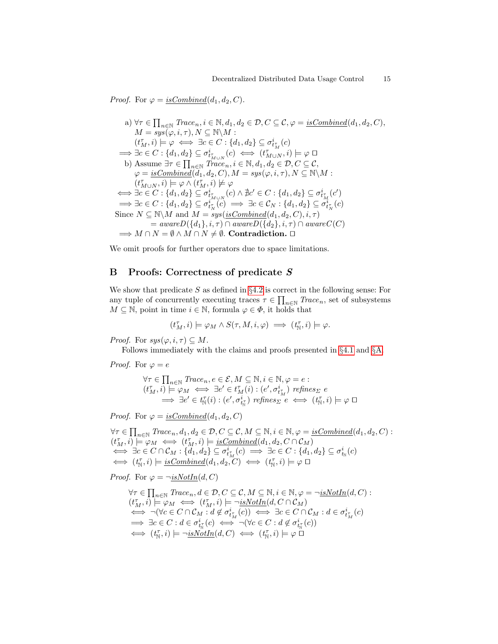*Proof.* For  $\varphi = \text{isCombined}(d_1, d_2, C)$ .

a) 
$$
\forall \tau \in \prod_{n \in \mathbb{N}} Trace_n, i \in \mathbb{N}, d_1, d_2 \in \mathcal{D}, C \subseteq \mathcal{C}, \varphi = \underline{isCombined}(d_1, d_2, C),
$$
  
\n $M = sys(\varphi, i, \tau), N \subseteq \mathbb{N} \backslash M :$   
\n $(t_M^{\tau}, i) \models \varphi \iff \exists c \in C : \{d_1, d_2\} \subseteq \sigma_{t_M}^{i}(c)$   
\n $\implies \exists c \in C : \{d_1, d_2\} \subseteq \sigma_{t_{M \cup N}}^{i}(c) \iff (t_{M \cup N}^{\tau}, i) \models \varphi \Box$   
\nb) Assume  $\exists \tau \in \prod_{n \in \mathbb{N}} Trace_n, i \in \mathbb{N}, d_1, d_2 \in \mathcal{D}, C \subseteq \mathcal{C},$   
\n $\varphi = \underline{isCombined}(d_1, d_2, C), M = sys(\varphi, i, \tau), N \subseteq \mathbb{N} \backslash M :$   
\n $(t_{M \cup N}^{\tau}, i) \models \varphi \land (t_M^{\tau}, i) \not\models \varphi$   
\n $\iff \exists c \in C : \{d_1, d_2\} \subseteq \sigma_{t_{M \cup N}}^{i}(c) \land \exists c' \in C : \{d_1, d_2\} \subseteq \sigma_{t_M}^{i}(c')$   
\n $\implies \exists c \in C : \{d_1, d_2\} \subseteq \sigma_{t_N}^{i}(c) \implies \exists c \in C_N : \{d_1, d_2\} \subseteq \sigma_{t_N}^{i}(c)$   
\nSince  $N \subseteq \mathbb{N} \backslash M$  and  $M = sys(\underline{isCombined}(d_1, d_2, C), i, \tau)$   
\n $= awareD(\{d_1\}, i, \tau) \cap awareD(\{d_2\}, i, \tau) \cap awareC(C)$   
\n $\implies M \cap N = \emptyset \land M \cap N \neq \emptyset$ . **Contraction.**  $\Box$ 

We omit proofs for further operators due to space limitations.

### <span id="page-14-0"></span>B Proofs: Correctness of predicate S

We show that predicate  $S$  as defined in  $\S 4.2$  $\S 4.2$  is correct in the following sense: For any tuple of concurrently executing traces  $\tau \in \prod_{n \in \mathbb{N}} Trace_n$ , set of subsystems  $M \subseteq \mathbb{N}$ , point in time  $i \in \mathbb{N}$ , formula  $\varphi \in \Phi$ , it holds that

$$
(t_M^{\tau},i) \models \varphi_M \wedge S(\tau,M,i,\varphi) \implies (t_{\mathbb{N}}^{\tau},i) \models \varphi.
$$

*Proof.* For  $sys(\varphi, i, \tau) \subseteq M$ .

Follows immediately with the claims and proofs presented in §[4.1](#page-7-1) and §[A.](#page-13-0)

*Proof.* For  $\varphi = e$ 

$$
\forall \tau \in \prod_{n \in \mathbb{N}} Trace_n, e \in \mathcal{E}, M \subseteq \mathbb{N}, i \in \mathbb{N}, \varphi = e:
$$
  
\n
$$
(t_M^{\tau}, i) \models \varphi_M \iff \exists e' \in t_M^{\tau}(i) : (e', \sigma_{t_M^{\tau}}^i) \text{ refines}_{\Sigma} e
$$
  
\n
$$
\implies \exists e' \in t_N^{\pi}(i) : (e', \sigma_{t_N^{\tau}}^i) \text{ refines}_{\Sigma} e \iff (t_N^{\pi}, i) \models \varphi \Box
$$

*Proof.* For  $\varphi = \text{isCombined}(d_1, d_2, C)$ 

 $\forall \tau \in \prod_{n \in \mathbb{N}} Trace_n, d_1, d_2 \in \mathcal{D}, C \subseteq \mathcal{C}, M \subseteq \mathbb{N}, i \in \mathbb{N}, \varphi = \underline{isCombined}(d_1, d_2, C)$ :  $(t_M^{\tau}, i) \models \varphi_M \iff (t_M^{\tau}, i) \models \underline{isCombined}(d_1, d_2, C \cap C_M)$  $\iff \exists c \in C \cap C_M : \{d_1, d_2\} \subseteq \sigma^i_{t_M^{\tau}}(c) \implies \exists c \in C : \{d_1, d_2\} \subseteq \sigma^i_{t_N}(c)$  $\iff$   $(t_{\mathbb{N}}^{\tau},i) \models \underline{isCombined}(d_1, d_2, C) \iff (t_{\mathbb{N}}^{\tau},i) \models \varphi \Box$ 

*Proof.* For  $\varphi = \neg \underline{isNotIn}(d, C)$ 

$$
\forall \tau \in \prod_{n \in \mathbb{N}} Trace_n, d \in \mathcal{D}, C \subseteq \mathcal{C}, M \subseteq \mathbb{N}, i \in \mathbb{N}, \varphi = \neg \underline{isNotIn}(d, C) : (t_M^{\tau}, i) \models \varphi_M \iff (t_M^{\tau}, i) \models \neg \underline{isNotIn}(d, C \cap C_M) \iff \neg (\forall c \in C \cap C_M : d \notin \sigma_{t_M^{\tau}}^i(c)) \iff \exists c \in C \cap C_M : d \in \sigma_{t_M^{\tau}}^i(c) \iff \exists c \in C : d \in \sigma_{t_M^{\tau}}^i(c) \iff \neg (\forall c \in C : d \notin \sigma_{t_M^{\tau}}^i(c)) \iff (t_M^{\pi}, i) \models \neg \underline{isNotIn}(d, C) \iff (t_M^{\pi}, i) \models \varphi \Box
$$